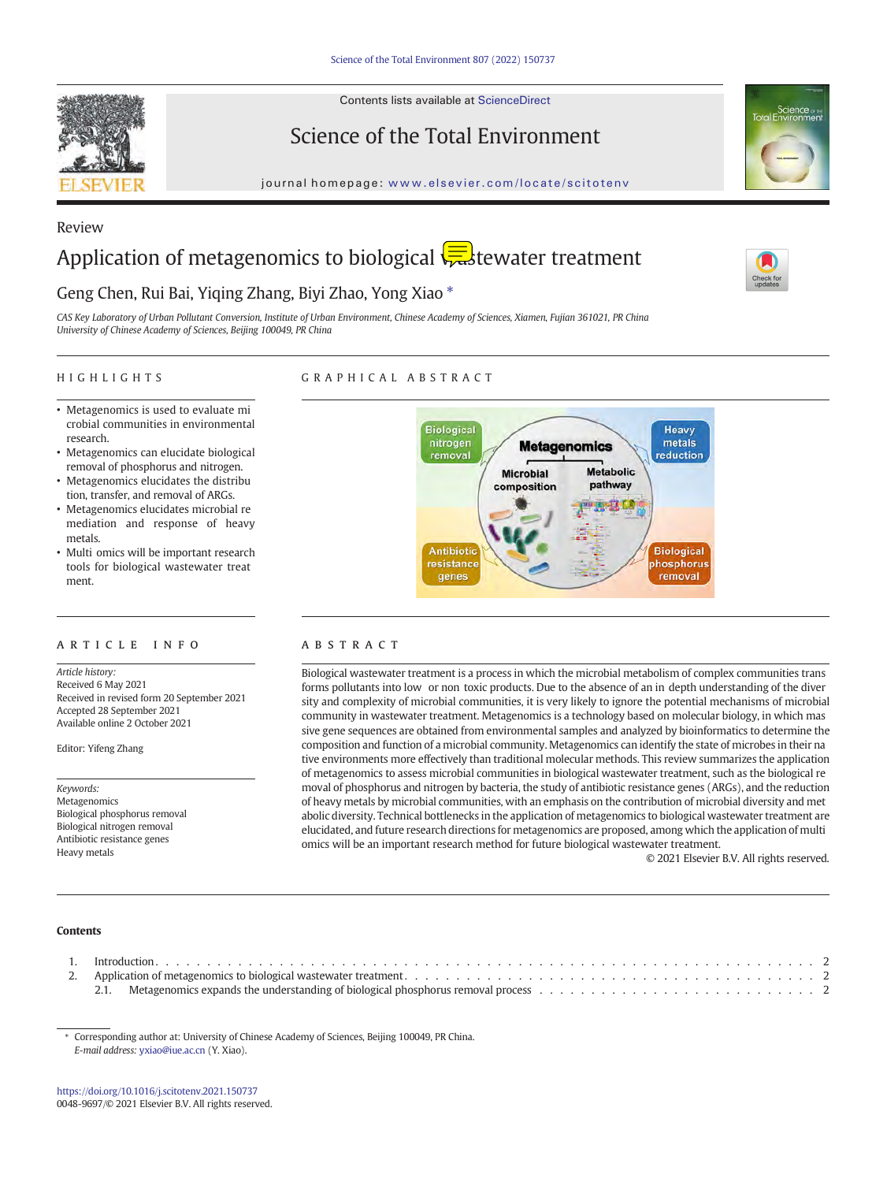Contents lists available at ScienceDirect



Review

Science of the Total Environment



journal homepage: <www.elsevier.com/locate/scitotenv>

# Application of metagenomics to biological  $\left\{\frac{1}{\sqrt{16}}\right\}$ tewater treatment

# Geng Chen, Rui Bai, Yiqing Zhang, Biyi Zhao, Yong Xiao  $*$

CAS Key Laboratory of Urban Pollutant Conversion, Institute of Urban Environment, Chinese Academy of Sciences, Xiamen, Fujian 361021, PR China University of Chinese Academy of Sciences, Beijing 100049, PR China

### HIGHLIGHTS

# GRAPHICAL ABSTRACT

- Metagenomics is used to evaluate mi crobial communities in environmental research.
- Metagenomics can elucidate biological removal of phosphorus and nitrogen.
- Metagenomics elucidates the distribu tion, transfer, and removal of ARGs.
- Metagenomics elucidates microbial re mediation and response of heavy metals.
- Multi omics will be important research tools for biological wastewater treat ment.

# ARTICLE INFO ABSTRACT

Article history: Received 6 May 2021 Received in revised form 20 September 2021 Accepted 28 September 2021 Available online 2 October 2021

Editor: Yifeng Zhang

Keywords: Metagenomics Biological phosphorus removal Biological nitrogen removal Antibiotic resistance genes Heavy metals



Biological wastewater treatment is a process in which the microbial metabolism of complex communities trans forms pollutants into low or non toxic products. Due to the absence of an in depth understanding of the diver sity and complexity of microbial communities, it is very likely to ignore the potential mechanisms of microbial community in wastewater treatment. Metagenomics is a technology based on molecular biology, in which mas sive gene sequences are obtained from environmental samples and analyzed by bioinformatics to determine the composition and function of a microbial community. Metagenomics can identify the state of microbes in their na tive environments more effectively than traditional molecular methods. This review summarizes the application of metagenomics to assess microbial communities in biological wastewater treatment, such as the biological re moval of phosphorus and nitrogen by bacteria, the study of antibiotic resistance genes (ARGs), and the reduction of heavy metals by microbial communities, with an emphasis on the contribution of microbial diversity and met abolic diversity. Technical bottlenecks in the application of metagenomics to biological wastewater treatment are elucidated, and future research directions for metagenomics are proposed, among which the application of multi omics will be an important research method for future biological wastewater treatment.

© 2021 Elsevier B.V. All rights reserved.

# Contents

| . . |                                                                                                                                                                                  |  |
|-----|----------------------------------------------------------------------------------------------------------------------------------------------------------------------------------|--|
|     |                                                                                                                                                                                  |  |
|     | Metagenomics expands the understanding of biological phosphorus removal process $\ldots$ , $\ldots$ , $\ldots$ , $\ldots$ , $\ldots$ , $\ldots$ , $\ldots$ , $\ldots$ , $\ldots$ |  |

⁎ Corresponding author at: University of Chinese Academy of Sciences, Beijing 100049, PR China. E-mail address: [yxiao@iue.ac.cn](mailto:yxiao@iue.ac.cn) (Y. Xiao).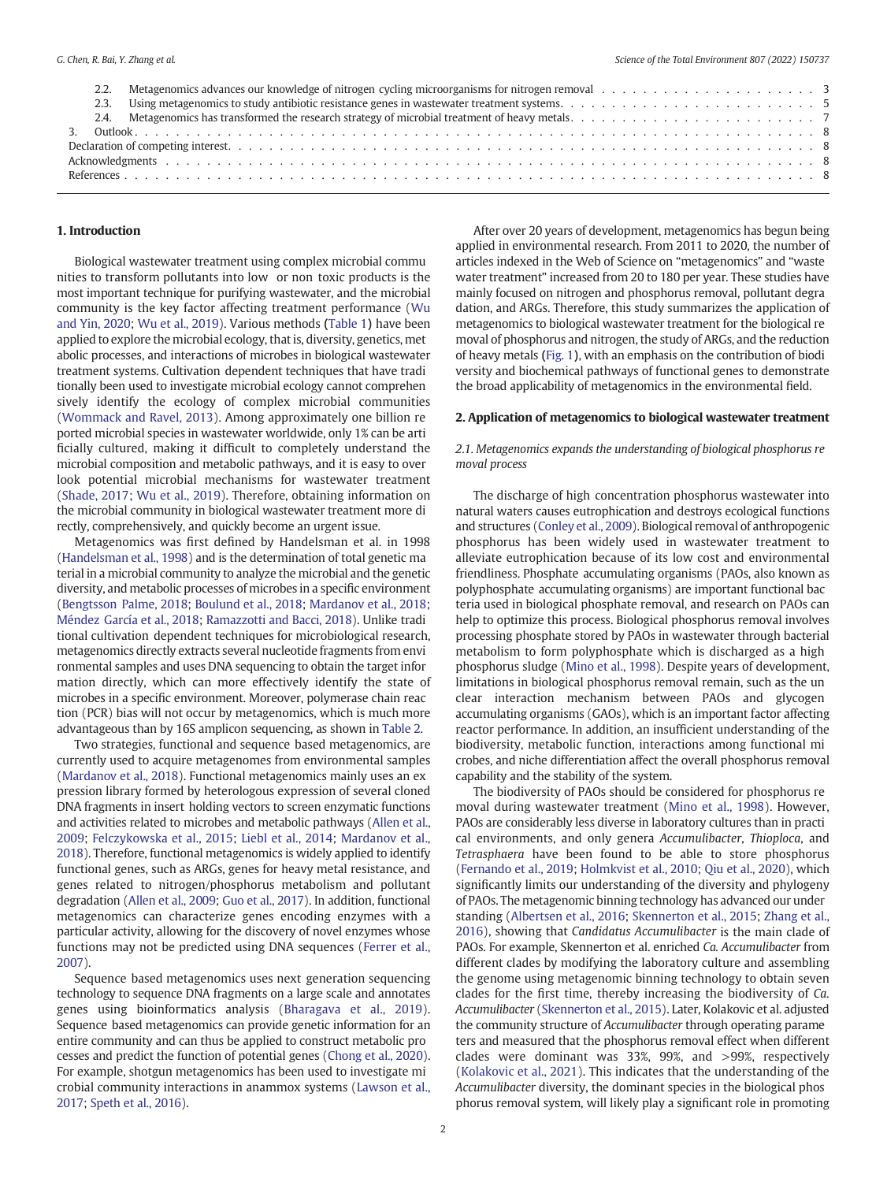### 1. Introduction

Biological wastewater treatment using complex microbial commu nities to transform pollutants into low or non toxic products is the most important technique for purifying wastewater, and the microbial community is the key factor affecting treatment performance [\(Wu](#page-8-0) [and Yin, 2020;](#page-8-0) [Wu et al., 2019\)](#page-8-0). Various methods ([Table 1](#page-2-0)) have been applied to explore the microbial ecology, that is, diversity, genetics, met abolic processes, and interactions of microbes in biological wastewater treatment systems. Cultivation dependent techniques that have tradi tionally been used to investigate microbial ecology cannot comprehen sively identify the ecology of complex microbial communities ([Wommack and Ravel, 2013](#page-8-0)). Among approximately one billion re ported microbial species in wastewater worldwide, only 1% can be arti ficially cultured, making it difficult to completely understand the microbial composition and metabolic pathways, and it is easy to over look potential microbial mechanisms for wastewater treatment ([Shade, 2017;](#page-8-0) [Wu et al., 2019](#page-8-0)). Therefore, obtaining information on the microbial community in biological wastewater treatment more di rectly, comprehensively, and quickly become an urgent issue.

Metagenomics was first defined by Handelsman et al. in 1998 ([Handelsman et al., 1998](#page-7-0)) and is the determination of total genetic ma terial in a microbial community to analyze the microbial and the genetic diversity, and metabolic processes of microbes in a specific environment ([Bengtsson Palme, 2018](#page-7-0); [Boulund et al., 2018;](#page-7-0) [Mardanov et al., 2018](#page-8-0); [Méndez García et al., 2018;](#page-8-0) [Ramazzotti and Bacci, 2018](#page-8-0)). Unlike tradi tional cultivation dependent techniques for microbiological research, metagenomics directly extracts several nucleotide fragments from envi ronmental samples and uses DNA sequencing to obtain the target infor mation directly, which can more effectively identify the state of microbes in a specific environment. Moreover, polymerase chain reac tion (PCR) bias will not occur by metagenomics, which is much more advantageous than by 16S amplicon sequencing, as shown in [Table 2](#page-2-0).

Two strategies, functional and sequence based metagenomics, are currently used to acquire metagenomes from environmental samples ([Mardanov et al., 2018\)](#page-8-0). Functional metagenomics mainly uses an ex pression library formed by heterologous expression of several cloned DNA fragments in insert holding vectors to screen enzymatic functions and activities related to microbes and metabolic pathways [\(Allen et al.,](#page-7-0) [2009;](#page-7-0) [Felczykowska et al., 2015;](#page-7-0) [Liebl et al., 2014](#page-8-0); [Mardanov et al.,](#page-8-0) [2018\)](#page-8-0). Therefore, functional metagenomics is widely applied to identify functional genes, such as ARGs, genes for heavy metal resistance, and genes related to nitrogen/phosphorus metabolism and pollutant degradation [\(Allen et al., 2009;](#page-7-0) [Guo et al., 2017](#page-7-0)). In addition, functional metagenomics can characterize genes encoding enzymes with a particular activity, allowing for the discovery of novel enzymes whose functions may not be predicted using DNA sequences [\(Ferrer et al.,](#page-7-0) [2007\)](#page-7-0).

Sequence based metagenomics uses next generation sequencing technology to sequence DNA fragments on a large scale and annotates genes using bioinformatics analysis ([Bharagava et al., 2019\)](#page-7-0). Sequence based metagenomics can provide genetic information for an entire community and can thus be applied to construct metabolic pro cesses and predict the function of potential genes [\(Chong et al., 2020\)](#page-7-0). For example, shotgun metagenomics has been used to investigate mi crobial community interactions in anammox systems ([Lawson et al.,](#page-8-0) [2017;](#page-8-0) [Speth et al., 2016\)](#page-8-0).

After over 20 years of development, metagenomics has begun being applied in environmental research. From 2011 to 2020, the number of articles indexed in the Web of Science on "metagenomics" and "waste water treatment" increased from 20 to 180 per year. These studies have mainly focused on nitrogen and phosphorus removal, pollutant degra dation, and ARGs. Therefore, this study summarizes the application of metagenomics to biological wastewater treatment for the biological re moval of phosphorus and nitrogen, the study of ARGs, and the reduction of heavy metals ([Fig. 1](#page-3-0)), with an emphasis on the contribution of biodi versity and biochemical pathways of functional genes to demonstrate the broad applicability of metagenomics in the environmental field.

#### 2. Application of metagenomics to biological wastewater treatment

# 2.1. Metagenomics expands the understanding of biological phosphorus re moval process

The discharge of high concentration phosphorus wastewater into natural waters causes eutrophication and destroys ecological functions and structures [\(Conley et al., 2009](#page-7-0)). Biological removal of anthropogenic phosphorus has been widely used in wastewater treatment to alleviate eutrophication because of its low cost and environmental friendliness. Phosphate accumulating organisms (PAOs, also known as polyphosphate accumulating organisms) are important functional bac teria used in biological phosphate removal, and research on PAOs can help to optimize this process. Biological phosphorus removal involves processing phosphate stored by PAOs in wastewater through bacterial metabolism to form polyphosphate which is discharged as a high phosphorus sludge [\(Mino et al., 1998\)](#page-8-0). Despite years of development, limitations in biological phosphorus removal remain, such as the un clear interaction mechanism between PAOs and glycogen accumulating organisms (GAOs), which is an important factor affecting reactor performance. In addition, an insufficient understanding of the biodiversity, metabolic function, interactions among functional mi crobes, and niche differentiation affect the overall phosphorus removal capability and the stability of the system.

The biodiversity of PAOs should be considered for phosphorus re moval during wastewater treatment [\(Mino et al., 1998](#page-8-0)). However, PAOs are considerably less diverse in laboratory cultures than in practi cal environments, and only genera Accumulibacter, Thioploca, and Tetrasphaera have been found to be able to store phosphorus ([Fernando et al., 2019](#page-7-0); [Holmkvist et al., 2010](#page-7-0); [Qiu et al., 2020](#page-8-0)), which significantly limits our understanding of the diversity and phylogeny of PAOs. The metagenomic binning technology has advanced our under standing [\(Albertsen et al., 2016;](#page-7-0) [Skennerton et al., 2015](#page-8-0); [Zhang et al.,](#page-8-0) [2016\)](#page-8-0), showing that Candidatus Accumulibacter is the main clade of PAOs. For example, Skennerton et al. enriched Ca. Accumulibacter from different clades by modifying the laboratory culture and assembling the genome using metagenomic binning technology to obtain seven clades for the first time, thereby increasing the biodiversity of Ca. Accumulibacter [\(Skennerton et al., 2015](#page-8-0)). Later, Kolakovic et al. adjusted the community structure of Accumulibacter through operating parame ters and measured that the phosphorus removal effect when different clades were dominant was 33%, 99%, and >99%, respectively ([Kolakovic et al., 2021](#page-7-0)). This indicates that the understanding of the Accumulibacter diversity, the dominant species in the biological phos phorus removal system, will likely play a significant role in promoting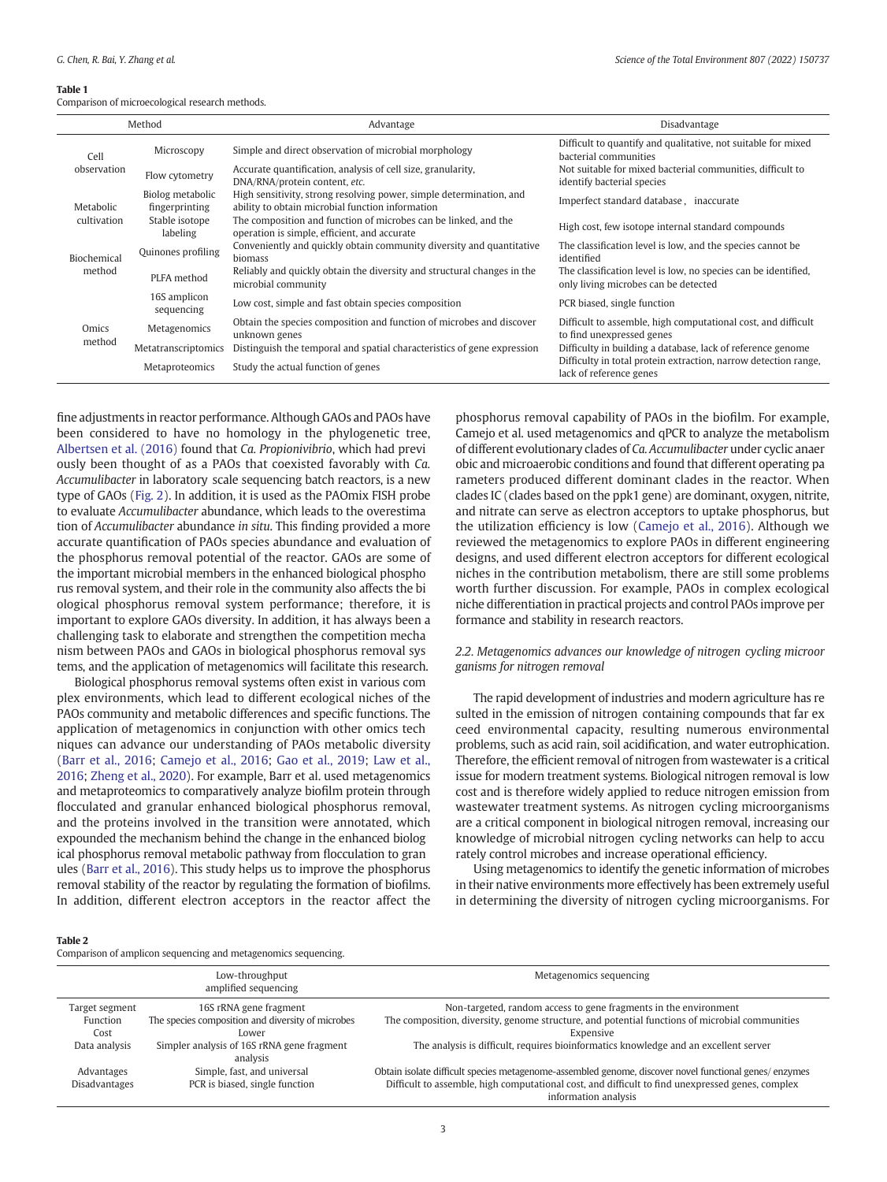#### <span id="page-2-0"></span>Table 1

Comparison of microecological research methods.

| Method          |                                    | Advantage                                                                                                               | Disadvantage                                                                                           |
|-----------------|------------------------------------|-------------------------------------------------------------------------------------------------------------------------|--------------------------------------------------------------------------------------------------------|
| Cell            | Microscopy                         | Simple and direct observation of microbial morphology                                                                   | Difficult to quantify and qualitative, not suitable for mixed<br>bacterial communities                 |
| observation     | Flow cytometry                     | Accurate quantification, analysis of cell size, granularity,<br>DNA/RNA/protein content, etc.                           | Not suitable for mixed bacterial communities, difficult to<br>identify bacterial species               |
| Metabolic       | Biolog metabolic<br>fingerprinting | High sensitivity, strong resolving power, simple determination, and<br>ability to obtain microbial function information | Imperfect standard database, inaccurate                                                                |
| cultivation     | Stable isotope<br>labeling         | The composition and function of microbes can be linked, and the<br>operation is simple, efficient, and accurate         | High cost, few isotope internal standard compounds                                                     |
| Biochemical     | Quinones profiling                 | Conveniently and quickly obtain community diversity and quantitative<br>biomass                                         | The classification level is low, and the species cannot be.<br>identified                              |
| method          | PLFA method                        | Reliably and quickly obtain the diversity and structural changes in the<br>microbial community                          | The classification level is low, no species can be identified,<br>only living microbes can be detected |
|                 | 16S amplicon<br>sequencing         | Low cost, simple and fast obtain species composition                                                                    | PCR biased, single function                                                                            |
| Omics<br>method | Metagenomics                       | Obtain the species composition and function of microbes and discover<br>unknown genes                                   | Difficult to assemble, high computational cost, and difficult<br>to find unexpressed genes             |
|                 | Metatranscriptomics                | Distinguish the temporal and spatial characteristics of gene expression                                                 | Difficulty in building a database, lack of reference genome                                            |
|                 | Metaproteomics                     | Study the actual function of genes                                                                                      | Difficulty in total protein extraction, narrow detection range,<br>lack of reference genes             |

fine adjustments in reactor performance. Although GAOs and PAOs have been considered to have no homology in the phylogenetic tree, [Albertsen et al. \(2016\)](#page-7-0) found that Ca. Propionivibrio, which had previ ously been thought of as a PAOs that coexisted favorably with Ca. Accumulibacter in laboratory scale sequencing batch reactors, is a new type of GAOs ([Fig. 2\)](#page-3-0). In addition, it is used as the PAOmix FISH probe to evaluate Accumulibacter abundance, which leads to the overestima tion of Accumulibacter abundance in situ. This finding provided a more accurate quantification of PAOs species abundance and evaluation of the phosphorus removal potential of the reactor. GAOs are some of the important microbial members in the enhanced biological phospho rus removal system, and their role in the community also affects the bi ological phosphorus removal system performance; therefore, it is important to explore GAOs diversity. In addition, it has always been a challenging task to elaborate and strengthen the competition mecha nism between PAOs and GAOs in biological phosphorus removal sys tems, and the application of metagenomics will facilitate this research.

Biological phosphorus removal systems often exist in various com plex environments, which lead to different ecological niches of the PAOs community and metabolic differences and specific functions. The application of metagenomics in conjunction with other omics tech niques can advance our understanding of PAOs metabolic diversity ([Barr et al., 2016](#page-7-0); [Camejo et al., 2016](#page-7-0); [Gao et al., 2019](#page-7-0); [Law et al.,](#page-8-0) [2016](#page-8-0); [Zheng et al., 2020\)](#page-8-0). For example, Barr et al. used metagenomics and metaproteomics to comparatively analyze biofilm protein through flocculated and granular enhanced biological phosphorus removal, and the proteins involved in the transition were annotated, which expounded the mechanism behind the change in the enhanced biolog ical phosphorus removal metabolic pathway from flocculation to gran ules [\(Barr et al., 2016](#page-7-0)). This study helps us to improve the phosphorus removal stability of the reactor by regulating the formation of biofilms. In addition, different electron acceptors in the reactor affect the phosphorus removal capability of PAOs in the biofilm. For example, Camejo et al. used metagenomics and qPCR to analyze the metabolism of different evolutionary clades of Ca. Accumulibacter under cyclic anaer obic and microaerobic conditions and found that different operating pa rameters produced different dominant clades in the reactor. When clades IC (clades based on the ppk1 gene) are dominant, oxygen, nitrite, and nitrate can serve as electron acceptors to uptake phosphorus, but the utilization efficiency is low ([Camejo et al., 2016\)](#page-7-0). Although we reviewed the metagenomics to explore PAOs in different engineering designs, and used different electron acceptors for different ecological niches in the contribution metabolism, there are still some problems worth further discussion. For example, PAOs in complex ecological niche differentiation in practical projects and control PAOs improve per formance and stability in research reactors.

# 2.2. Metagenomics advances our knowledge of nitrogen cycling microor ganisms for nitrogen removal

The rapid development of industries and modern agriculture has re sulted in the emission of nitrogen containing compounds that far ex ceed environmental capacity, resulting numerous environmental problems, such as acid rain, soil acidification, and water eutrophication. Therefore, the efficient removal of nitrogen from wastewater is a critical issue for modern treatment systems. Biological nitrogen removal is low cost and is therefore widely applied to reduce nitrogen emission from wastewater treatment systems. As nitrogen cycling microorganisms are a critical component in biological nitrogen removal, increasing our knowledge of microbial nitrogen cycling networks can help to accu rately control microbes and increase operational efficiency.

Using metagenomics to identify the genetic information of microbes in their native environments more effectively has been extremely useful in determining the diversity of nitrogen cycling microorganisms. For

#### Table 2

Comparison of amplicon sequencing and metagenomics sequencing.

|                      | Low-throughput<br>amplified sequencing                 | Metagenomics sequencing                                                                               |
|----------------------|--------------------------------------------------------|-------------------------------------------------------------------------------------------------------|
| Target segment       | 16S rRNA gene fragment                                 | Non-targeted, random access to gene fragments in the environment                                      |
| Function             | The species composition and diversity of microbes      | The composition, diversity, genome structure, and potential functions of microbial communities        |
| Cost                 | Lower                                                  | Expensive                                                                                             |
| Data analysis        | Simpler analysis of 16S rRNA gene fragment<br>analysis | The analysis is difficult, requires bioinformatics knowledge and an excellent server                  |
| Advantages           | Simple, fast, and universal                            | Obtain isolate difficult species metagenome-assembled genome, discover novel functional genes/enzymes |
| <b>Disadvantages</b> | PCR is biased, single function                         | Difficult to assemble, high computational cost, and difficult to find unexpressed genes, complex      |
|                      |                                                        | information analysis                                                                                  |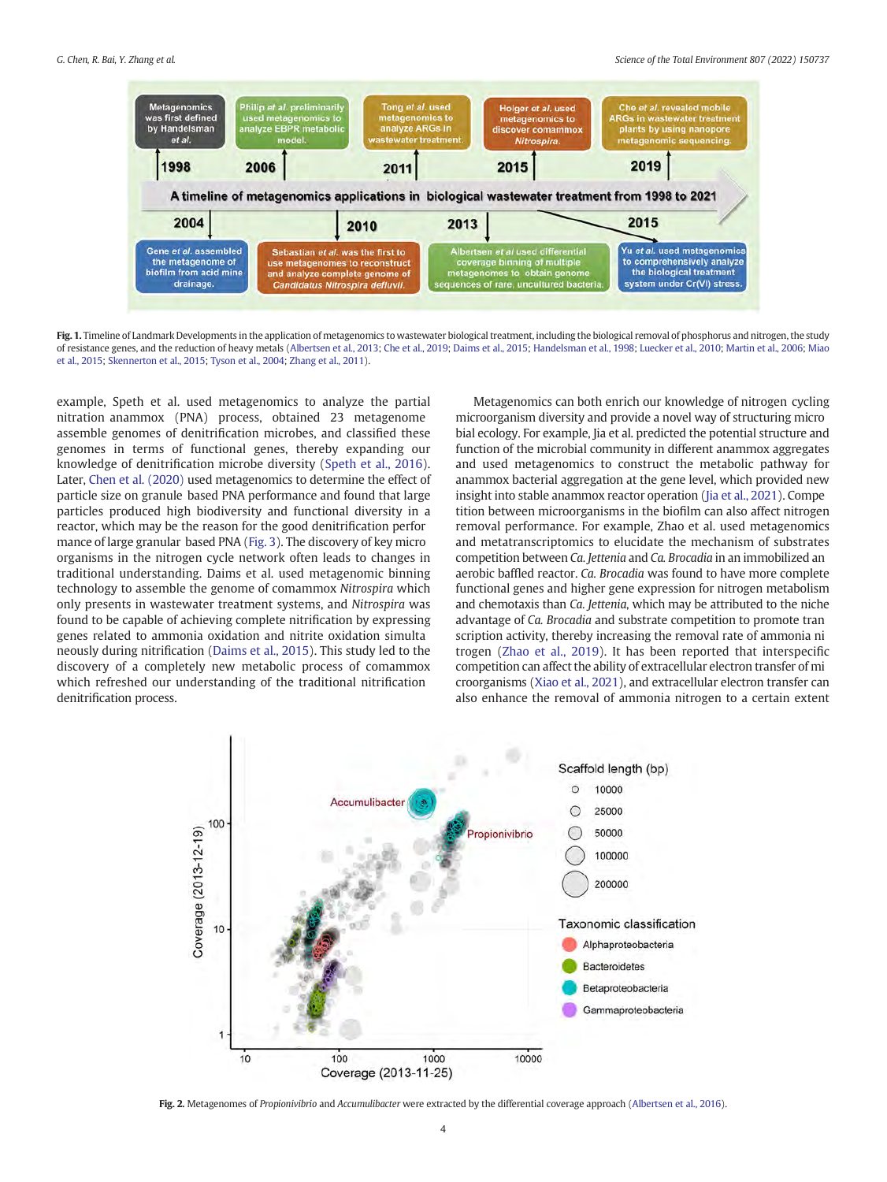<span id="page-3-0"></span>

Fig. 1. Timeline of Landmark Developments in the application of metagenomics to wastewater biological treatment, including the biological removal of phosphorus and nitrogen, the study of resistance genes, and the reduction of heavy metals ([Albertsen et al., 2013](#page-7-0); [Che et al., 2019;](#page-7-0) [Daims et al., 2015;](#page-7-0) [Handelsman et al., 1998](#page-7-0); [Luecker et al., 2010;](#page-8-0) [Martin et al., 2006](#page-8-0); [Miao](#page-8-0) [et al., 2015;](#page-8-0) [Skennerton et al., 2015;](#page-8-0) [Tyson et al., 2004;](#page-8-0) [Zhang et al., 2011\)](#page-8-0).

example, Speth et al. used metagenomics to analyze the partial nitration anammox (PNA) process, obtained 23 metagenome assemble genomes of denitrification microbes, and classified these genomes in terms of functional genes, thereby expanding our knowledge of denitrification microbe diversity [\(Speth et al., 2016\)](#page-8-0). Later, [Chen et al. \(2020\)](#page-7-0) used metagenomics to determine the effect of particle size on granule based PNA performance and found that large particles produced high biodiversity and functional diversity in a reactor, which may be the reason for the good denitrification perfor mance of large granular based PNA [\(Fig. 3](#page-4-0)). The discovery of key micro organisms in the nitrogen cycle network often leads to changes in traditional understanding. Daims et al. used metagenomic binning technology to assemble the genome of comammox Nitrospira which only presents in wastewater treatment systems, and Nitrospira was found to be capable of achieving complete nitrification by expressing genes related to ammonia oxidation and nitrite oxidation simulta neously during nitrification [\(Daims et al., 2015](#page-7-0)). This study led to the discovery of a completely new metabolic process of comammox which refreshed our understanding of the traditional nitrification denitrification process.

Metagenomics can both enrich our knowledge of nitrogen cycling microorganism diversity and provide a novel way of structuring micro bial ecology. For example, Jia et al. predicted the potential structure and function of the microbial community in different anammox aggregates and used metagenomics to construct the metabolic pathway for anammox bacterial aggregation at the gene level, which provided new insight into stable anammox reactor operation [\(Jia et al., 2021](#page-7-0)). Compe tition between microorganisms in the biofilm can also affect nitrogen removal performance. For example, Zhao et al. used metagenomics and metatranscriptomics to elucidate the mechanism of substrates competition between Ca. Jettenia and Ca. Brocadia in an immobilized an aerobic baffled reactor. Ca. Brocadia was found to have more complete functional genes and higher gene expression for nitrogen metabolism and chemotaxis than Ca. Jettenia, which may be attributed to the niche advantage of Ca. Brocadia and substrate competition to promote tran scription activity, thereby increasing the removal rate of ammonia ni trogen ([Zhao et al., 2019](#page-8-0)). It has been reported that interspecific competition can affect the ability of extracellular electron transfer of mi croorganisms [\(Xiao et al., 2021](#page-8-0)), and extracellular electron transfer can also enhance the removal of ammonia nitrogen to a certain extent



Fig. 2. Metagenomes of Propionivibrio and Accumulibacter were extracted by the differential coverage approach ([Albertsen et al., 2016](#page-7-0)).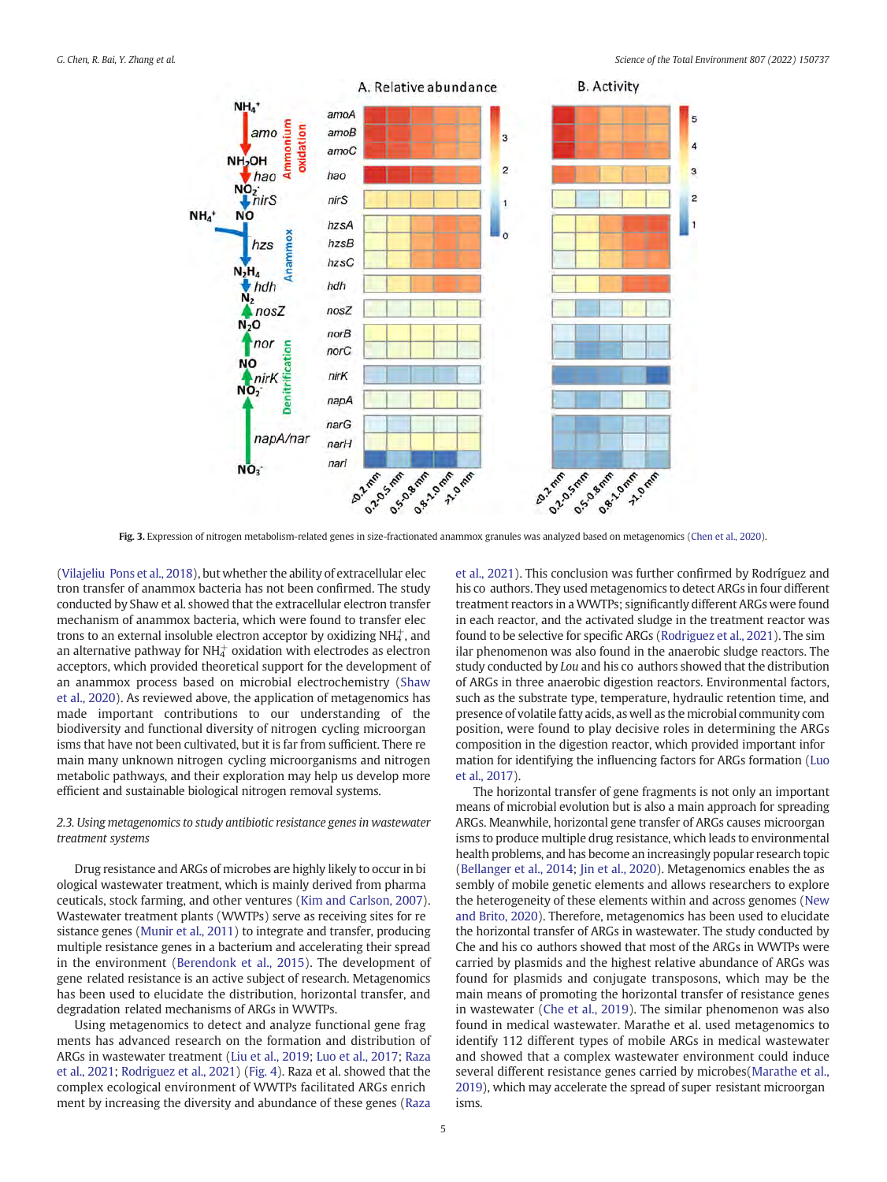<span id="page-4-0"></span>

Fig. 3. Expression of nitrogen metabolism-related genes in size-fractionated anammox granules was analyzed based on metagenomics [\(Chen et al., 2020](#page-7-0)).

([Vilajeliu Pons et al., 2018](#page-8-0)), but whether the ability of extracellular elec tron transfer of anammox bacteria has not been confirmed. The study conducted by Shaw et al. showed that the extracellular electron transfer mechanism of anammox bacteria, which were found to transfer elec trons to an external insoluble electron acceptor by oxidizing NH $_4^+$ , and an alternative pathway for NH $^+_4$  oxidation with electrodes as electron acceptors, which provided theoretical support for the development of an anammox process based on microbial electrochemistry [\(Shaw](#page-8-0) [et al., 2020](#page-8-0)). As reviewed above, the application of metagenomics has made important contributions to our understanding of the biodiversity and functional diversity of nitrogen cycling microorgan isms that have not been cultivated, but it is far from sufficient. There re main many unknown nitrogen cycling microorganisms and nitrogen metabolic pathways, and their exploration may help us develop more efficient and sustainable biological nitrogen removal systems.

# 2.3. Using metagenomics to study antibiotic resistance genes in wastewater treatment systems

Drug resistance and ARGs of microbes are highly likely to occur in bi ological wastewater treatment, which is mainly derived from pharma ceuticals, stock farming, and other ventures ([Kim and Carlson, 2007\)](#page-7-0). Wastewater treatment plants (WWTPs) serve as receiving sites for re sistance genes [\(Munir et al., 2011](#page-8-0)) to integrate and transfer, producing multiple resistance genes in a bacterium and accelerating their spread in the environment ([Berendonk et al., 2015\)](#page-7-0). The development of gene related resistance is an active subject of research. Metagenomics has been used to elucidate the distribution, horizontal transfer, and degradation related mechanisms of ARGs in WWTPs.

Using metagenomics to detect and analyze functional gene frag ments has advanced research on the formation and distribution of ARGs in wastewater treatment [\(Liu et al., 2019;](#page-8-0) [Luo et al., 2017](#page-8-0); [Raza](#page-8-0) [et al., 2021;](#page-8-0) [Rodriguez et al., 2021](#page-8-0)) [\(Fig. 4](#page-5-0)). Raza et al. showed that the complex ecological environment of WWTPs facilitated ARGs enrich ment by increasing the diversity and abundance of these genes [\(Raza](#page-8-0)

[et al., 2021](#page-8-0)). This conclusion was further confirmed by Rodríguez and his co authors. They used metagenomics to detect ARGs in four different treatment reactors in a WWTPs; significantly different ARGs were found in each reactor, and the activated sludge in the treatment reactor was found to be selective for specific ARGs [\(Rodriguez et al., 2021](#page-8-0)). The sim ilar phenomenon was also found in the anaerobic sludge reactors. The study conducted by Lou and his co authors showed that the distribution of ARGs in three anaerobic digestion reactors. Environmental factors, such as the substrate type, temperature, hydraulic retention time, and presence of volatile fatty acids, as well as the microbial community com position, were found to play decisive roles in determining the ARGs composition in the digestion reactor, which provided important infor mation for identifying the influencing factors for ARGs formation [\(Luo](#page-8-0) [et al., 2017\)](#page-8-0).

The horizontal transfer of gene fragments is not only an important means of microbial evolution but is also a main approach for spreading ARGs. Meanwhile, horizontal gene transfer of ARGs causes microorgan isms to produce multiple drug resistance, which leads to environmental health problems, and has become an increasingly popular research topic ([Bellanger et al., 2014;](#page-7-0) [Jin et al., 2020\)](#page-7-0). Metagenomics enables the as sembly of mobile genetic elements and allows researchers to explore the heterogeneity of these elements within and across genomes ([New](#page-8-0) [and Brito, 2020](#page-8-0)). Therefore, metagenomics has been used to elucidate the horizontal transfer of ARGs in wastewater. The study conducted by Che and his co authors showed that most of the ARGs in WWTPs were carried by plasmids and the highest relative abundance of ARGs was found for plasmids and conjugate transposons, which may be the main means of promoting the horizontal transfer of resistance genes in wastewater ([Che et al., 2019](#page-7-0)). The similar phenomenon was also found in medical wastewater. Marathe et al. used metagenomics to identify 112 different types of mobile ARGs in medical wastewater and showed that a complex wastewater environment could induce several different resistance genes carried by microbes[\(Marathe et al.,](#page-8-0) [2019\)](#page-8-0), which may accelerate the spread of super resistant microorgan isms.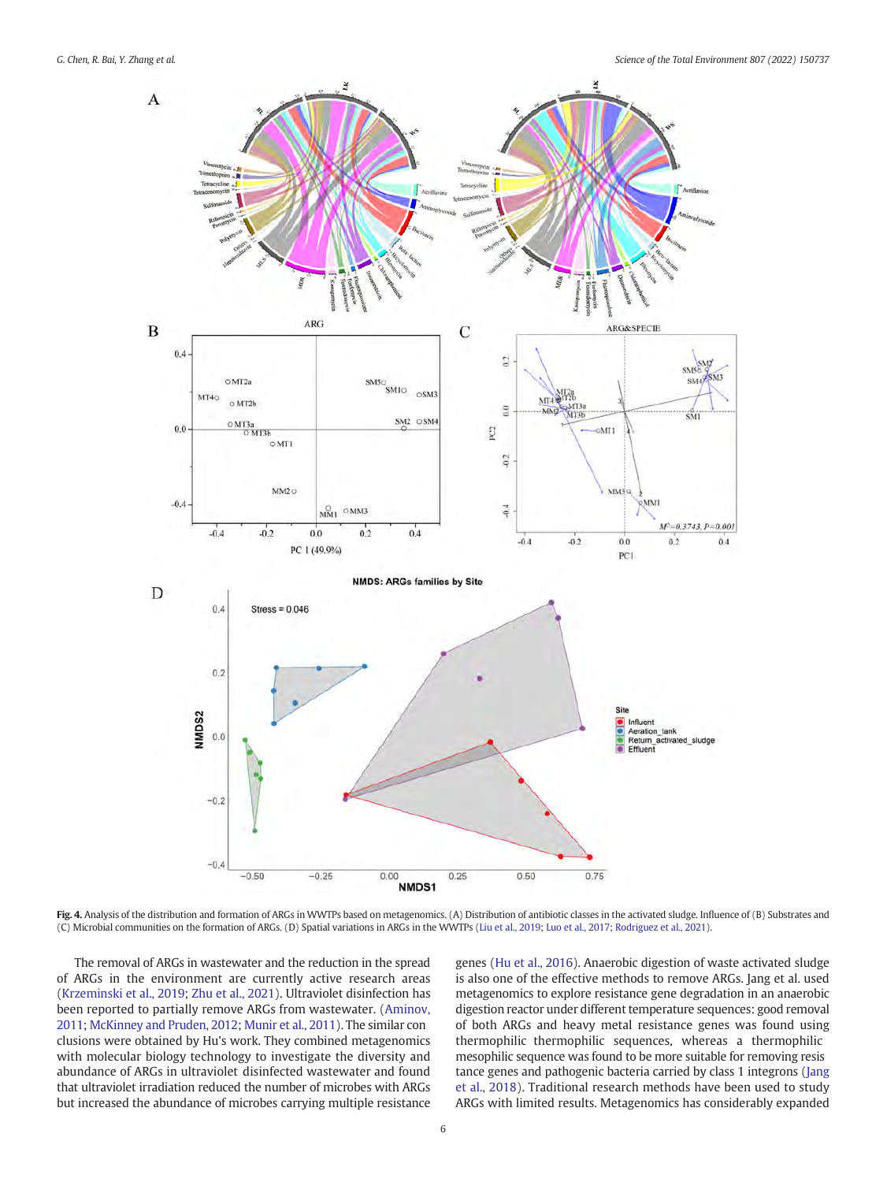<span id="page-5-0"></span>



Fig. 4. Analysis of the distribution and formation of ARGs in WWTPs based on metagenomics. (A) Distribution of antibiotic classes in the activated sludge. Influence of (B) Substrates and (C) Microbial communities on the formation of ARGs. (D) Spatial variations in ARGs in the WWTPs [\(Liu et al., 2019](#page-8-0); [Luo et al., 2017;](#page-8-0) [Rodriguez et al., 2021](#page-8-0)).

The removal of ARGs in wastewater and the reduction in the spread of ARGs in the environment are currently active research areas ([Krzeminski et al., 2019;](#page-8-0) [Zhu et al., 2021](#page-8-0)). Ultraviolet disinfection has been reported to partially remove ARGs from wastewater. ([Aminov,](#page-7-0) [2011;](#page-7-0) [McKinney and Pruden, 2012;](#page-8-0) [Munir et al., 2011\)](#page-8-0). The similar con clusions were obtained by Hu's work. They combined metagenomics with molecular biology technology to investigate the diversity and abundance of ARGs in ultraviolet disinfected wastewater and found that ultraviolet irradiation reduced the number of microbes with ARGs but increased the abundance of microbes carrying multiple resistance genes ([Hu et al., 2016\)](#page-7-0). Anaerobic digestion of waste activated sludge is also one of the effective methods to remove ARGs. Jang et al. used metagenomics to explore resistance gene degradation in an anaerobic digestion reactor under different temperature sequences: good removal of both ARGs and heavy metal resistance genes was found using thermophilic thermophilic sequences, whereas a thermophilic mesophilic sequence was found to be more suitable for removing resis tance genes and pathogenic bacteria carried by class 1 integrons ([Jang](#page-7-0) [et al., 2018](#page-7-0)). Traditional research methods have been used to study ARGs with limited results. Metagenomics has considerably expanded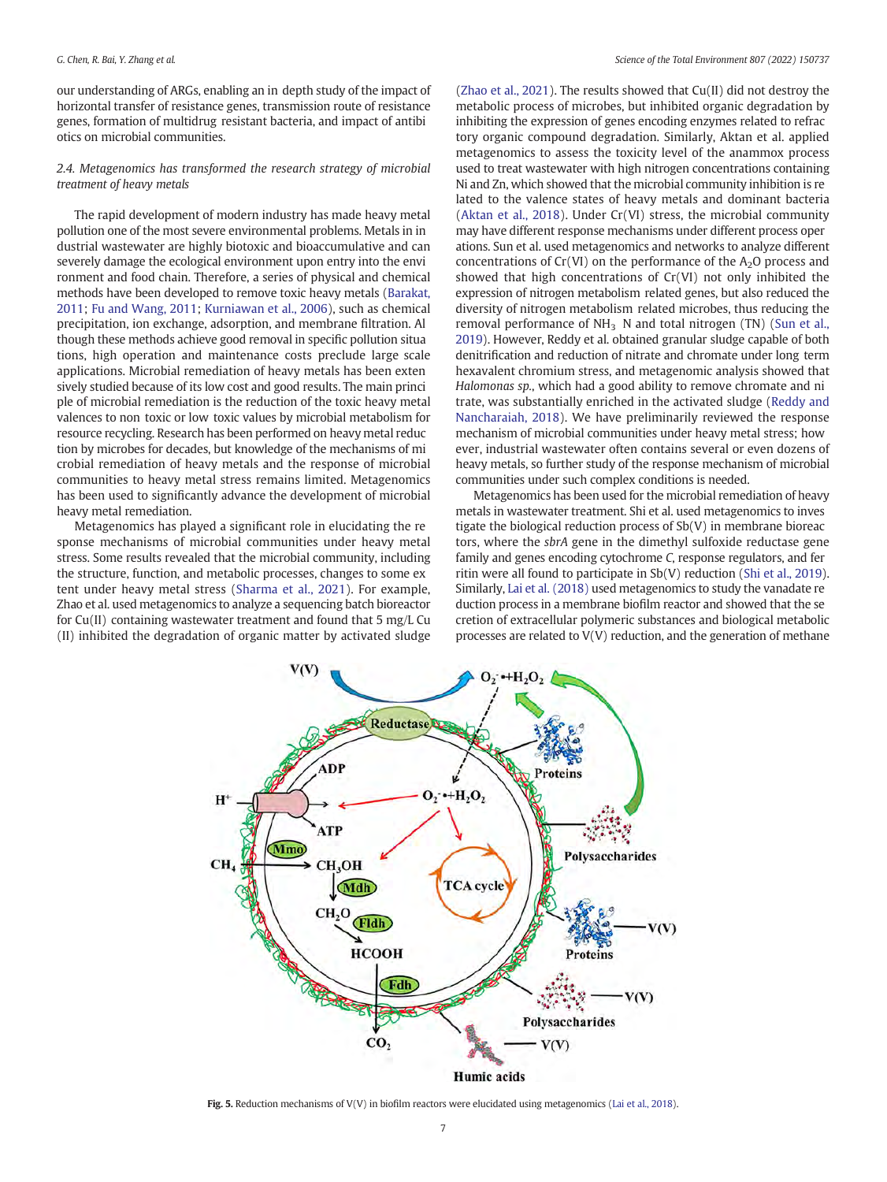<span id="page-6-0"></span>our understanding of ARGs, enabling an in depth study of the impact of horizontal transfer of resistance genes, transmission route of resistance genes, formation of multidrug resistant bacteria, and impact of antibi otics on microbial communities.

# 2.4. Metagenomics has transformed the research strategy of microbial treatment of heavy metals

The rapid development of modern industry has made heavy metal pollution one of the most severe environmental problems. Metals in in dustrial wastewater are highly biotoxic and bioaccumulative and can severely damage the ecological environment upon entry into the envi ronment and food chain. Therefore, a series of physical and chemical methods have been developed to remove toxic heavy metals [\(Barakat,](#page-7-0) [2011](#page-7-0); [Fu and Wang, 2011](#page-7-0); [Kurniawan et al., 2006](#page-8-0)), such as chemical precipitation, ion exchange, adsorption, and membrane filtration. Al though these methods achieve good removal in specific pollution situa tions, high operation and maintenance costs preclude large scale applications. Microbial remediation of heavy metals has been exten sively studied because of its low cost and good results. The main princi ple of microbial remediation is the reduction of the toxic heavy metal valences to non toxic or low toxic values by microbial metabolism for resource recycling. Research has been performed on heavy metal reduc tion by microbes for decades, but knowledge of the mechanisms of mi crobial remediation of heavy metals and the response of microbial communities to heavy metal stress remains limited. Metagenomics has been used to significantly advance the development of microbial heavy metal remediation.

Metagenomics has played a significant role in elucidating the re sponse mechanisms of microbial communities under heavy metal stress. Some results revealed that the microbial community, including the structure, function, and metabolic processes, changes to some ex tent under heavy metal stress ([Sharma et al., 2021](#page-8-0)). For example, Zhao et al. used metagenomics to analyze a sequencing batch bioreactor for Cu(II) containing wastewater treatment and found that 5 mg/L Cu (II) inhibited the degradation of organic matter by activated sludge ([Zhao et al., 2021\)](#page-8-0). The results showed that Cu(II) did not destroy the metabolic process of microbes, but inhibited organic degradation by inhibiting the expression of genes encoding enzymes related to refrac tory organic compound degradation. Similarly, Aktan et al. applied metagenomics to assess the toxicity level of the anammox process used to treat wastewater with high nitrogen concentrations containing Ni and Zn, which showed that the microbial community inhibition is re lated to the valence states of heavy metals and dominant bacteria ([Aktan et al., 2018](#page-7-0)). Under Cr(VI) stress, the microbial community may have different response mechanisms under different process oper ations. Sun et al. used metagenomics and networks to analyze different concentrations of  $Cr(VI)$  on the performance of the  $A<sub>2</sub>O$  process and showed that high concentrations of Cr(VI) not only inhibited the expression of nitrogen metabolism related genes, but also reduced the diversity of nitrogen metabolism related microbes, thus reducing the removal performance of  $NH<sub>3</sub>$  N and total nitrogen (TN) ([Sun et al.,](#page-8-0) [2019](#page-8-0)). However, Reddy et al. obtained granular sludge capable of both denitrification and reduction of nitrate and chromate under long term hexavalent chromium stress, and metagenomic analysis showed that Halomonas sp., which had a good ability to remove chromate and ni trate, was substantially enriched in the activated sludge [\(Reddy and](#page-8-0) [Nancharaiah, 2018\)](#page-8-0). We have preliminarily reviewed the response mechanism of microbial communities under heavy metal stress; how ever, industrial wastewater often contains several or even dozens of heavy metals, so further study of the response mechanism of microbial communities under such complex conditions is needed.

Metagenomics has been used for the microbial remediation of heavy metals in wastewater treatment. Shi et al. used metagenomics to inves tigate the biological reduction process of Sb(V) in membrane bioreac tors, where the sbrA gene in the dimethyl sulfoxide reductase gene family and genes encoding cytochrome C, response regulators, and fer ritin were all found to participate in Sb(V) reduction ([Shi et al., 2019\)](#page-8-0). Similarly, [Lai et al. \(2018\)](#page-8-0) used metagenomics to study the vanadate re duction process in a membrane biofilm reactor and showed that the se cretion of extracellular polymeric substances and biological metabolic processes are related to V(V) reduction, and the generation of methane



Fig. 5. Reduction mechanisms of V(V) in biofilm reactors were elucidated using metagenomics [\(Lai et al., 2018\)](#page-8-0).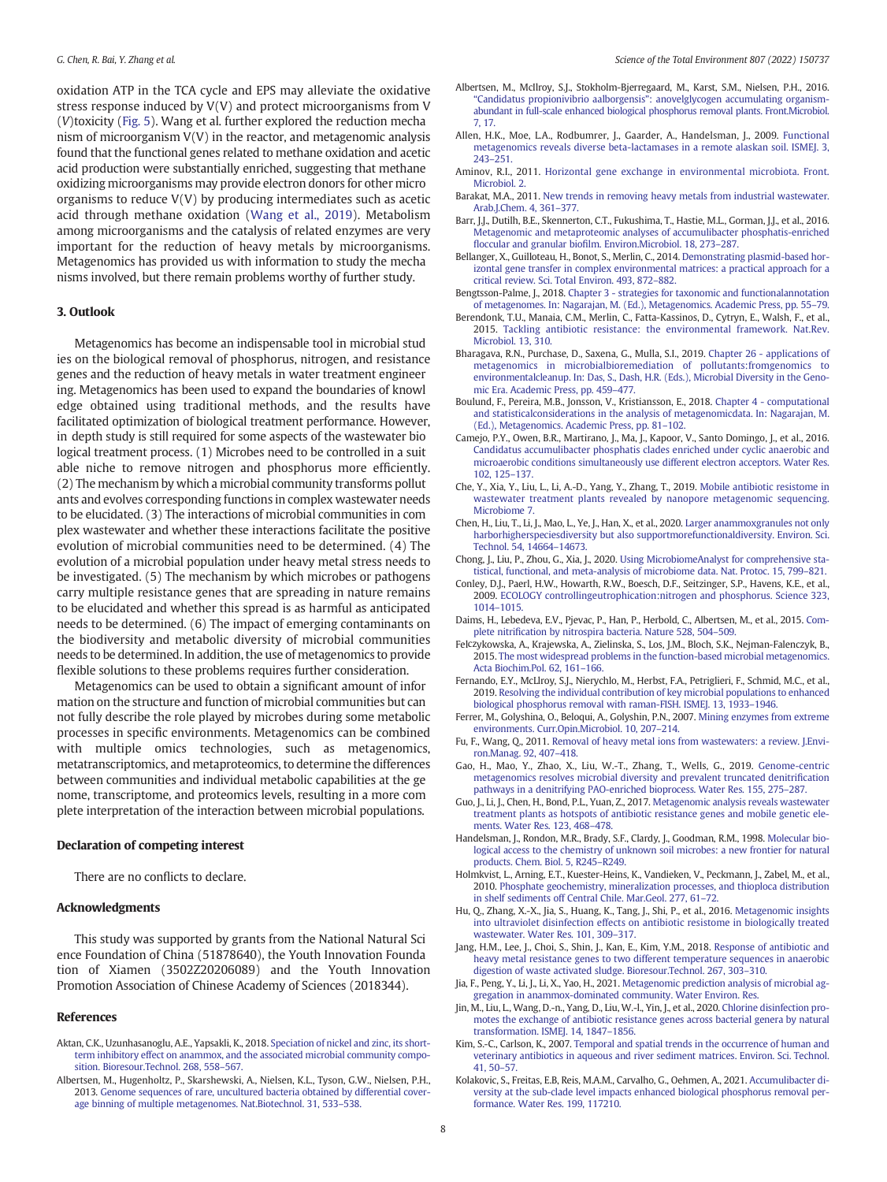<span id="page-7-0"></span>oxidation ATP in the TCA cycle and EPS may alleviate the oxidative stress response induced by V(V) and protect microorganisms from V (V)toxicity [\(Fig. 5\)](#page-6-0). Wang et al. further explored the reduction mecha nism of microorganism V(V) in the reactor, and metagenomic analysis found that the functional genes related to methane oxidation and acetic acid production were substantially enriched, suggesting that methane oxidizing microorganisms may provide electron donors for other micro organisms to reduce V(V) by producing intermediates such as acetic acid through methane oxidation [\(Wang et al., 2019\)](#page-8-0). Metabolism among microorganisms and the catalysis of related enzymes are very important for the reduction of heavy metals by microorganisms. Metagenomics has provided us with information to study the mecha nisms involved, but there remain problems worthy of further study.

#### 3. Outlook

Metagenomics has become an indispensable tool in microbial stud ies on the biological removal of phosphorus, nitrogen, and resistance genes and the reduction of heavy metals in water treatment engineer ing. Metagenomics has been used to expand the boundaries of knowl edge obtained using traditional methods, and the results have facilitated optimization of biological treatment performance. However, in depth study is still required for some aspects of the wastewater bio logical treatment process. (1) Microbes need to be controlled in a suit able niche to remove nitrogen and phosphorus more efficiently. (2) The mechanism by which a microbial community transforms pollut ants and evolves corresponding functions in complex wastewater needs to be elucidated. (3) The interactions of microbial communities in com plex wastewater and whether these interactions facilitate the positive evolution of microbial communities need to be determined. (4) The evolution of a microbial population under heavy metal stress needs to be investigated. (5) The mechanism by which microbes or pathogens carry multiple resistance genes that are spreading in nature remains to be elucidated and whether this spread is as harmful as anticipated needs to be determined. (6) The impact of emerging contaminants on the biodiversity and metabolic diversity of microbial communities needs to be determined. In addition, the use of metagenomics to provide flexible solutions to these problems requires further consideration.

Metagenomics can be used to obtain a significant amount of infor mation on the structure and function of microbial communities but can not fully describe the role played by microbes during some metabolic processes in specific environments. Metagenomics can be combined with multiple omics technologies, such as metagenomics, metatranscriptomics, and metaproteomics, to determine the differences between communities and individual metabolic capabilities at the ge nome, transcriptome, and proteomics levels, resulting in a more com plete interpretation of the interaction between microbial populations.

#### Declaration of competing interest

There are no conflicts to declare.

#### Acknowledgments

This study was supported by grants from the National Natural Sci ence Foundation of China (51878640), the Youth Innovation Founda tion of Xiamen (3502Z20206089) and the Youth Innovation Promotion Association of Chinese Academy of Sciences (2018344).

## References

- Aktan, C.K., Uzunhasanoglu, A.E., Yapsakli, K., 2018. [Speciation of nickel and zinc, its short](http://refhub.elsevier.com/S0048-9697(21)05815-0/rf202110010706385321)[term inhibitory effect on anammox, and the associated microbial community compo](http://refhub.elsevier.com/S0048-9697(21)05815-0/rf202110010706385321)[sition. Bioresour.Technol. 268, 558](http://refhub.elsevier.com/S0048-9697(21)05815-0/rf202110010706385321)–567.
- Albertsen, M., Hugenholtz, P., Skarshewski, A., Nielsen, K.L., Tyson, G.W., Nielsen, P.H., 2013. [Genome sequences of rare, uncultured bacteria obtained by differential cover](http://refhub.elsevier.com/S0048-9697(21)05815-0/rf202110010711340417)[age binning of multiple metagenomes. Nat.Biotechnol. 31, 533](http://refhub.elsevier.com/S0048-9697(21)05815-0/rf202110010711340417)–538.
- Albertsen, M., McIlroy, S.J., Stokholm-Bjerregaard, M., Karst, S.M., Nielsen, P.H., 2016. "Candidatus propionivibrio aalborgensis"[: anovelglycogen accumulating organism](http://refhub.elsevier.com/S0048-9697(21)05815-0/rf202110010706389310)[abundant in full-scale enhanced biological phosphorus removal plants. Front.Microbiol.](http://refhub.elsevier.com/S0048-9697(21)05815-0/rf202110010706389310) [7, 17](http://refhub.elsevier.com/S0048-9697(21)05815-0/rf202110010706389310).
- Allen, H.K., Moe, L.A., Rodbumrer, J., Gaarder, A., Handelsman, J., 2009. [Functional](http://refhub.elsevier.com/S0048-9697(21)05815-0/rf202110010711349925) [metagenomics reveals diverse beta-lactamases in a remote alaskan soil. ISMEJ. 3,](http://refhub.elsevier.com/S0048-9697(21)05815-0/rf202110010711349925) [243](http://refhub.elsevier.com/S0048-9697(21)05815-0/rf202110010711349925)–251.
- Aminov, R.I., 2011. [Horizontal gene exchange in environmental microbiota. Front.](http://refhub.elsevier.com/S0048-9697(21)05815-0/rf202110010711357237) [Microbiol. 2.](http://refhub.elsevier.com/S0048-9697(21)05815-0/rf202110010711357237)
- Barakat, M.A., 2011. [New trends in removing heavy metals from industrial wastewater.](http://refhub.elsevier.com/S0048-9697(21)05815-0/rf202110010711366349) [Arab.J.Chem. 4, 361](http://refhub.elsevier.com/S0048-9697(21)05815-0/rf202110010711366349)–377.
- Barr, J.J., Dutilh, B.E., Skennerton, C.T., Fukushima, T., Hastie, M.L., Gorman, J.J., et al., 2016. [Metagenomic and metaproteomic analyses of accumulibacter phosphatis-enriched](http://refhub.elsevier.com/S0048-9697(21)05815-0/rf202110010711374153) floccular and granular biofi[lm. Environ.Microbiol. 18, 273](http://refhub.elsevier.com/S0048-9697(21)05815-0/rf202110010711374153)–287.
- Bellanger, X., Guilloteau, H., Bonot, S., Merlin, C., 2014. [Demonstrating plasmid-based hor](http://refhub.elsevier.com/S0048-9697(21)05815-0/rf202110010711381553)[izontal gene transfer in complex environmental matrices: a practical approach for a](http://refhub.elsevier.com/S0048-9697(21)05815-0/rf202110010711381553) [critical review. Sci. Total Environ. 493, 872](http://refhub.elsevier.com/S0048-9697(21)05815-0/rf202110010711381553)–882.
- Bengtsson-Palme, J., 2018. [Chapter 3 strategies for taxonomic and functionalannotation](http://refhub.elsevier.com/S0048-9697(21)05815-0/rf202110010706430487) [of metagenomes. In: Nagarajan, M. \(Ed.\), Metagenomics. Academic Press, pp. 55](http://refhub.elsevier.com/S0048-9697(21)05815-0/rf202110010706430487)–79.
- Berendonk, T.U., Manaia, C.M., Merlin, C., Fatta-Kassinos, D., Cytryn, E., Walsh, F., et al., 2015. [Tackling antibiotic resistance: the environmental framework. Nat.Rev.](http://refhub.elsevier.com/S0048-9697(21)05815-0/rf202110010711394545) [Microbiol. 13, 310](http://refhub.elsevier.com/S0048-9697(21)05815-0/rf202110010711394545).
- Bharagava, R.N., Purchase, D., Saxena, G., Mulla, S.I., 2019. [Chapter 26 applications of](http://refhub.elsevier.com/S0048-9697(21)05815-0/rf202110010706468308) [metagenomics in microbialbioremediation of pollutants:fromgenomics to](http://refhub.elsevier.com/S0048-9697(21)05815-0/rf202110010706468308) [environmentalcleanup. In: Das, S., Dash, H.R. \(Eds.\), Microbial Diversity in the Geno](http://refhub.elsevier.com/S0048-9697(21)05815-0/rf202110010706468308)[mic Era. Academic Press, pp. 459](http://refhub.elsevier.com/S0048-9697(21)05815-0/rf202110010706468308)–477.
- Boulund, F., Pereira, M.B., Jonsson, V., Kristiansson, E., 2018. [Chapter 4 computational](http://refhub.elsevier.com/S0048-9697(21)05815-0/rf202110010706483151) [and statisticalconsiderations in the analysis of metagenomicdata. In: Nagarajan, M.](http://refhub.elsevier.com/S0048-9697(21)05815-0/rf202110010706483151) [\(Ed.\), Metagenomics. Academic Press, pp. 81](http://refhub.elsevier.com/S0048-9697(21)05815-0/rf202110010706483151)–102.
- Camejo, P.Y., Owen, B.R., Martirano, J., Ma, J., Kapoor, V., Santo Domingo, J., et al., 2016. [Candidatus accumulibacter phosphatis clades enriched under cyclic anaerobic and](http://refhub.elsevier.com/S0048-9697(21)05815-0/rf202110010711399630) [microaerobic conditions simultaneously use different electron acceptors. Water Res.](http://refhub.elsevier.com/S0048-9697(21)05815-0/rf202110010711399630) [102, 125](http://refhub.elsevier.com/S0048-9697(21)05815-0/rf202110010711399630)–137.
- Che, Y., Xia, Y., Liu, L., Li, A.-D., Yang, Y., Zhang, T., 2019. [Mobile antibiotic resistome in](http://refhub.elsevier.com/S0048-9697(21)05815-0/rf202110010711404471) [wastewater treatment plants revealed by nanopore metagenomic sequencing.](http://refhub.elsevier.com/S0048-9697(21)05815-0/rf202110010711404471) Microbiome 7
- Chen, H., Liu, T., Li, J., Mao, L., Ye, J., Han, X., et al., 2020. [Larger anammoxgranules not only](http://refhub.elsevier.com/S0048-9697(21)05815-0/rf202110010711532589) [harborhigherspeciesdiversity but also supportmorefunctionaldiversity. Environ. Sci.](http://refhub.elsevier.com/S0048-9697(21)05815-0/rf202110010711532589) [Technol. 54, 14664](http://refhub.elsevier.com/S0048-9697(21)05815-0/rf202110010711532589)–14673.
- Chong, J., Liu, P., Zhou, G., Xia, J., 2020. [Using MicrobiomeAnalyst for comprehensive sta](http://refhub.elsevier.com/S0048-9697(21)05815-0/rf202110010711551973)[tistical, functional, and meta-analysis of microbiome data. Nat. Protoc. 15, 799](http://refhub.elsevier.com/S0048-9697(21)05815-0/rf202110010711551973)–821.
- Conley, D.J., Paerl, H.W., Howarth, R.W., Boesch, D.F., Seitzinger, S.P., Havens, K.E., et al., 2009. [ECOLOGY controllingeutrophication:nitrogen and phosphorus. Science 323,](http://refhub.elsevier.com/S0048-9697(21)05815-0/rf202110010711584783) [1014](http://refhub.elsevier.com/S0048-9697(21)05815-0/rf202110010711584783)–1015.
- Daims, H., Lebedeva, E.V., Pjevac, P., Han, P., Herbold, C., Albertsen, M., et al., 2015. [Com](http://refhub.elsevier.com/S0048-9697(21)05815-0/rf202110010711594789)plete nitrifi[cation by nitrospira bacteria. Nature 528, 504](http://refhub.elsevier.com/S0048-9697(21)05815-0/rf202110010711594789)–509.
- Felczykowska, A., Krajewska, A., Zielinska, S., Los, J.M., Bloch, S.K., Nejman-Falenczyk, B., 2015. [The most widespread problems in the function-based microbial metagenomics.](http://refhub.elsevier.com/S0048-9697(21)05815-0/rf202110010712001748) [Acta Biochim.Pol. 62, 161](http://refhub.elsevier.com/S0048-9697(21)05815-0/rf202110010712001748)–166.
- Fernando, E.Y., McLlroy, S.J., Nierychlo, M., Herbst, F.A., Petriglieri, F., Schmid, M.C., et al., 2019. [Resolving the individual contribution of key microbial populations to enhanced](http://refhub.elsevier.com/S0048-9697(21)05815-0/rf202110010706492705) [biological phosphorus removal with raman-FISH. ISMEJ. 13, 1933](http://refhub.elsevier.com/S0048-9697(21)05815-0/rf202110010706492705)–1946.
- Ferrer, M., Golyshina, O., Beloqui, A., Golyshin, P.N., 2007. [Mining enzymes from extreme](http://refhub.elsevier.com/S0048-9697(21)05815-0/rf202110010712008054) [environments. Curr.Opin.Microbiol. 10, 207](http://refhub.elsevier.com/S0048-9697(21)05815-0/rf202110010712008054)–214.
- Fu, F., Wang, Q., 2011. [Removal of heavy metal ions from wastewaters: a review. J.Envi](http://refhub.elsevier.com/S0048-9697(21)05815-0/rf202110010712013994)[ron.Manag. 92, 407](http://refhub.elsevier.com/S0048-9697(21)05815-0/rf202110010712013994)–418.
- Gao, H., Mao, Y., Zhao, X., Liu, W.-T., Zhang, T., Wells, G., 2019. [Genome-centric](http://refhub.elsevier.com/S0048-9697(21)05815-0/rf202110010712020563) [metagenomics resolves microbial diversity and prevalent truncated denitri](http://refhub.elsevier.com/S0048-9697(21)05815-0/rf202110010712020563)fication [pathways in a denitrifying PAO-enriched bioprocess. Water Res. 155, 275](http://refhub.elsevier.com/S0048-9697(21)05815-0/rf202110010712020563)–287.
- Guo, J., Li, J., Chen, H., Bond, P.L., Yuan, Z., 2017. [Metagenomic analysis reveals wastewater](http://refhub.elsevier.com/S0048-9697(21)05815-0/rf202110010712026657) [treatment plants as hotspots of antibiotic resistance genes and mobile genetic ele](http://refhub.elsevier.com/S0048-9697(21)05815-0/rf202110010712026657)[ments. Water Res. 123, 468](http://refhub.elsevier.com/S0048-9697(21)05815-0/rf202110010712026657)–478.
- Handelsman, J., Rondon, M.R., Brady, S.F., Clardy, J., Goodman, R.M., 1998. [Molecular bio](http://refhub.elsevier.com/S0048-9697(21)05815-0/rf202110010712161809)[logical access to the chemistry of unknown soil microbes: a new frontier for natural](http://refhub.elsevier.com/S0048-9697(21)05815-0/rf202110010712161809) [products. Chem. Biol. 5, R245](http://refhub.elsevier.com/S0048-9697(21)05815-0/rf202110010712161809)–R249.
- Holmkvist, L., Arning, E.T., Kuester-Heins, K., Vandieken, V., Peckmann, J., Zabel, M., et al., 2010. [Phosphate geochemistry, mineralization processes, and thioploca distribution](http://refhub.elsevier.com/S0048-9697(21)05815-0/rf202110010706502980) [in shelf sediments off Central Chile. Mar.Geol. 277, 61](http://refhub.elsevier.com/S0048-9697(21)05815-0/rf202110010706502980)–72.
- Hu, Q., Zhang, X.-X., Jia, S., Huang, K., Tang, J., Shi, P., et al., 2016. [Metagenomic insights](http://refhub.elsevier.com/S0048-9697(21)05815-0/rf202110010712170405) [into ultraviolet disinfection effects on antibiotic resistome in biologically treated](http://refhub.elsevier.com/S0048-9697(21)05815-0/rf202110010712170405) [wastewater. Water Res. 101, 309](http://refhub.elsevier.com/S0048-9697(21)05815-0/rf202110010712170405)–317.
- Jang, H.M., Lee, J., Choi, S., Shin, J., Kan, E., Kim, Y.M., 2018. [Response of antibiotic and](http://refhub.elsevier.com/S0048-9697(21)05815-0/rf202110010712178536) [heavy metal resistance genes to two different temperature sequences in anaerobic](http://refhub.elsevier.com/S0048-9697(21)05815-0/rf202110010712178536) [digestion of waste activated sludge. Bioresour.Technol. 267, 303](http://refhub.elsevier.com/S0048-9697(21)05815-0/rf202110010712178536)–310.
- Jia, F., Peng, Y., Li, J., Li, X., Yao, H., 2021. [Metagenomic prediction analysis of microbial ag](http://refhub.elsevier.com/S0048-9697(21)05815-0/rf202110010707449799)[gregation in anammox-dominated community. Water Environ. Res.](http://refhub.elsevier.com/S0048-9697(21)05815-0/rf202110010707449799)
- Jin, M., Liu, L., Wang, D.-n., Yang, D., Liu, W.-l., Yin, J., et al., 2020. [Chlorine disinfection pro](http://refhub.elsevier.com/S0048-9697(21)05815-0/rf202110010712185719)[motes the exchange of antibiotic resistance genes across bacterial genera by natural](http://refhub.elsevier.com/S0048-9697(21)05815-0/rf202110010712185719) [transformation. ISMEJ. 14, 1847](http://refhub.elsevier.com/S0048-9697(21)05815-0/rf202110010712185719)–1856.
- Kim, S.-C., Carlson, K., 2007. [Temporal and spatial trends in the occurrence of human and](http://refhub.elsevier.com/S0048-9697(21)05815-0/rf202110010712299768) [veterinary antibiotics in aqueous and river sediment matrices. Environ. Sci. Technol.](http://refhub.elsevier.com/S0048-9697(21)05815-0/rf202110010712299768) [41, 50](http://refhub.elsevier.com/S0048-9697(21)05815-0/rf202110010712299768)–57.
- Kolakovic, S., Freitas, E.B, Reis, M.A.M., Carvalho, G., Oehmen, A., 2021. [Accumulibacter di](http://refhub.elsevier.com/S0048-9697(21)05815-0/rf2005)[versity at the sub-clade level impacts enhanced biological phosphorus removal per](http://refhub.elsevier.com/S0048-9697(21)05815-0/rf2005)[formance. Water Res. 199, 117210.](http://refhub.elsevier.com/S0048-9697(21)05815-0/rf2005)